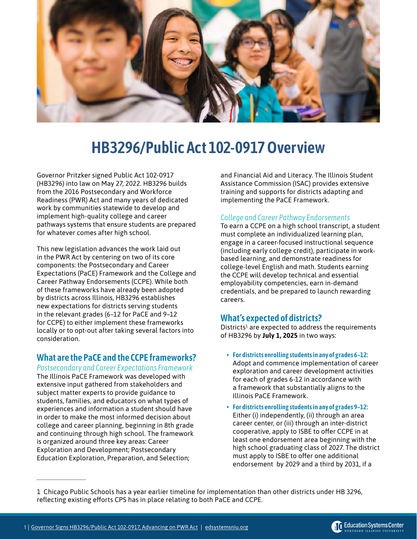

# **HB3296/Public Act 102-0917 Overview**

Governor Pritzker signed Public Act 102-0917 (HB3296) into law on May 27, 2022. HB3296 builds from the 2016 Postsecondary and Workforce Readiness (PWR) Act and many years of dedicated work by communities statewide to develop and implement high-quality college and career pathways systems that ensure students are prepared for whatever comes after high school.

This new legislation advances the work laid out in the PWR Act by centering on two of its core components: the Postsecondary and Career Expectations (PaCE) Framework and the College and Career Pathway Endorsements (CCPE). While both of these frameworks have already been adopted by districts across Illinois, HB3296 establishes new expectations for districts serving students in the relevant grades (6–12 for PaCE and 9–12 for CCPE) to either implement these frameworks locally or to opt-out after taking several factors into consideration.

## **What are the PaCE and the CCPE frameworks?**

*Postsecondary and Career Expectations Framework* The Illinois PaCE Framework was developed with extensive input gathered from stakeholders and subject matter experts to provide guidance to students, families, and educators on what types of experiences and information a student should have in order to make the most informed decision about college and career planning, beginning in 8th grade and continuing through high school. The framework is organized around three key areas: Career Exploration and Development; Postsecondary Education Exploration, Preparation, and Selection;

and Financial Aid and Literacy. The Illinois Student Assistance Commission (ISAC) provides extensive training and supports for districts adapting and implementing the PaCE Framework.

#### *College and Career Pathway Endorsements*

To earn a CCPE on a high school transcript, a student must complete an individualized learning plan, engage in a career-focused instructional sequence (including early college credit), participate in workbased learning, and demonstrate readiness for college-level English and math. Students earning the CCPE will develop technical and essential employability competencies, earn in-demand credentials, and be prepared to launch rewarding careers.

### **What's expected of districts?**

Districts $<sup>1</sup>$  are expected to address the requirements</sup> of HB3296 by **July 1, 2025** in two ways:

- **For districts enrolling students in any of grades 6–12**: Adopt and commence implementation of career exploration and career development activities for each of grades 6-12 in accordance with a framework that substantially aligns to the Illinois PaCE Framework.
- **For districts enrolling students in any of grades 9–12**: Either (i) independently, (ii) through an area career center, or (iii) through an inter-district cooperative, apply to ISBE to offer CCPE in at least one endorsement area beginning with the high school graduating class of 2027. The district must apply to ISBE to offer one additional endorsement by 2029 and a third by 2031, if a



<sup>1</sup> Chicago Public Schools has a year earlier timeline for implementation than other districts under HB 3296, reflecting existing efforts CPS has in place relating to both PaCE and CCPE.